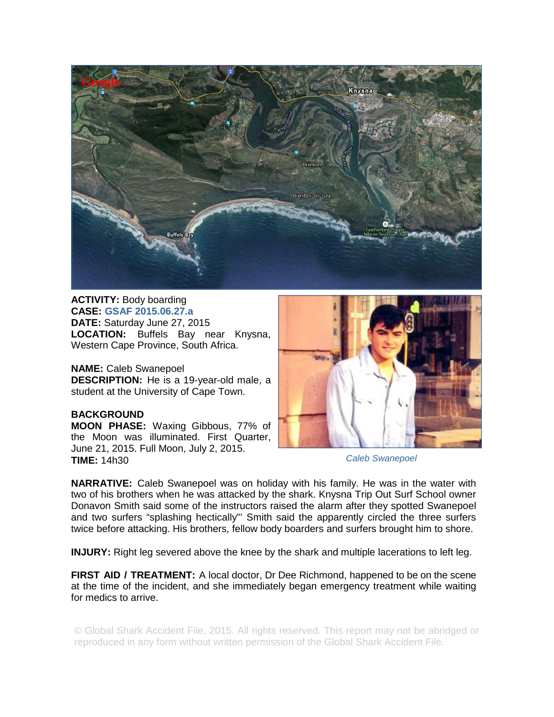

**ACTIVITY:** Body boarding **CASE: GSAF 2015.06.27.a DATE:** Saturday June 27, 2015 **LOCATION:** Buffels Bay near Knysna, Western Cape Province, South Africa.

**NAME:** Caleb Swanepoel **DESCRIPTION:** He is a 19-year-old male, a student at the University of Cape Town.

## **BACKGROUND**

**MOON PHASE:** Waxing Gibbous, 77% of the Moon was illuminated. First Quarter, June 21, 2015. Full Moon, July 2, 2015. **TIME:** 14h30



## *Caleb Swanepoel*

**NARRATIVE:** Caleb Swanepoel was on holiday with his family. He was in the water with two of his brothers when he was attacked by the shark. Knysna Trip Out Surf School owner Donavon Smith said some of the instructors raised the alarm after they spotted Swanepoel and two surfers "splashing hectically"' Smith said the apparently circled the three surfers twice before attacking. His brothers, fellow body boarders and surfers brought him to shore.

**INJURY:** Right leg severed above the knee by the shark and multiple lacerations to left leg.

**FIRST AID / TREATMENT:** A local doctor, Dr Dee Richmond, happened to be on the scene at the time of the incident, and she immediately began emergency treatment while waiting for medics to arrive.

© Global Shark Accident File, 2015. All rights reserved. This report may not be abridged or reproduced in any form without written permission of the Global Shark Accident File.